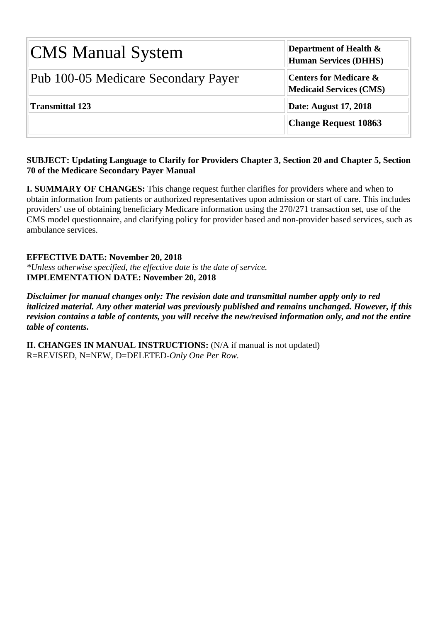| <b>CMS Manual System</b>            | Department of Health $\&$<br><b>Human Services (DHHS)</b>           |  |  |  |  |  |  |
|-------------------------------------|---------------------------------------------------------------------|--|--|--|--|--|--|
| Pub 100-05 Medicare Secondary Payer | <b>Centers for Medicare &amp;</b><br><b>Medicaid Services (CMS)</b> |  |  |  |  |  |  |
| <b>Transmittal 123</b>              | <b>Date: August 17, 2018</b>                                        |  |  |  |  |  |  |
|                                     | <b>Change Request 10863</b>                                         |  |  |  |  |  |  |

#### **SUBJECT: Updating Language to Clarify for Providers Chapter 3, Section 20 and Chapter 5, Section 70 of the Medicare Secondary Payer Manual**

**I. SUMMARY OF CHANGES:** This change request further clarifies for providers where and when to obtain information from patients or authorized representatives upon admission or start of care. This includes providers' use of obtaining beneficiary Medicare information using the 270/271 transaction set, use of the CMS model questionnaire, and clarifying policy for provider based and non-provider based services, such as ambulance services.

**EFFECTIVE DATE: November 20, 2018** *\*Unless otherwise specified, the effective date is the date of service.* **IMPLEMENTATION DATE: November 20, 2018**

*Disclaimer for manual changes only: The revision date and transmittal number apply only to red italicized material. Any other material was previously published and remains unchanged. However, if this revision contains a table of contents, you will receive the new/revised information only, and not the entire table of contents.*

**II. CHANGES IN MANUAL INSTRUCTIONS:** (N/A if manual is not updated) R=REVISED, N=NEW, D=DELETED-*Only One Per Row.*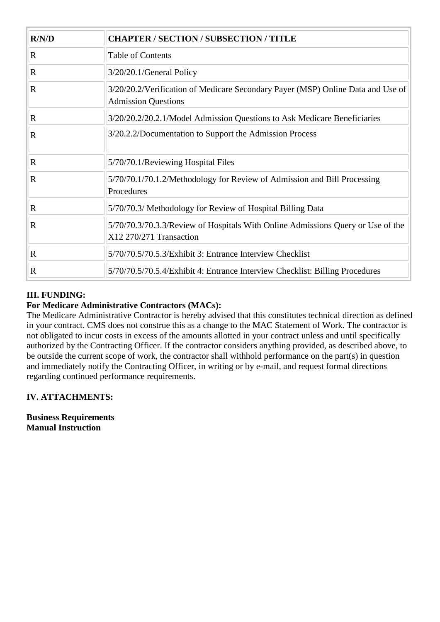| R/N/D       | <b>CHAPTER / SECTION / SUBSECTION / TITLE</b>                                                                 |  |
|-------------|---------------------------------------------------------------------------------------------------------------|--|
| $\mathbf R$ | <b>Table of Contents</b>                                                                                      |  |
| $\mathbf R$ | $3/20/20.1$ /General Policy                                                                                   |  |
| $\mathbf R$ | 3/20/20.2/Verification of Medicare Secondary Payer (MSP) Online Data and Use of<br><b>Admission Questions</b> |  |
| $\mathbf R$ | 3/20/20.2/20.2.1/Model Admission Questions to Ask Medicare Beneficiaries                                      |  |
| $\mathbf R$ | 3/20.2.2/Documentation to Support the Admission Process                                                       |  |
| $\mathbf R$ | 5/70/70.1/Reviewing Hospital Files                                                                            |  |
| $\mathbf R$ | 5/70/70.1/70.1.2/Methodology for Review of Admission and Bill Processing<br>Procedures                        |  |
| $\mathbf R$ | 5/70/70.3/ Methodology for Review of Hospital Billing Data                                                    |  |
| $\mathbf R$ | 5/70/70.3/70.3.3/Review of Hospitals With Online Admissions Query or Use of the<br>X12 270/271 Transaction    |  |
| $\mathbf R$ | 5/70/70.5/70.5.3/Exhibit 3: Entrance Interview Checklist                                                      |  |
| $\mathbf R$ | 5/70/70.5/70.5.4/Exhibit 4: Entrance Interview Checklist: Billing Procedures                                  |  |

## **III. FUNDING:**

### **For Medicare Administrative Contractors (MACs):**

The Medicare Administrative Contractor is hereby advised that this constitutes technical direction as defined in your contract. CMS does not construe this as a change to the MAC Statement of Work. The contractor is not obligated to incur costs in excess of the amounts allotted in your contract unless and until specifically authorized by the Contracting Officer. If the contractor considers anything provided, as described above, to be outside the current scope of work, the contractor shall withhold performance on the part(s) in question and immediately notify the Contracting Officer, in writing or by e-mail, and request formal directions regarding continued performance requirements.

### **IV. ATTACHMENTS:**

**Business Requirements Manual Instruction**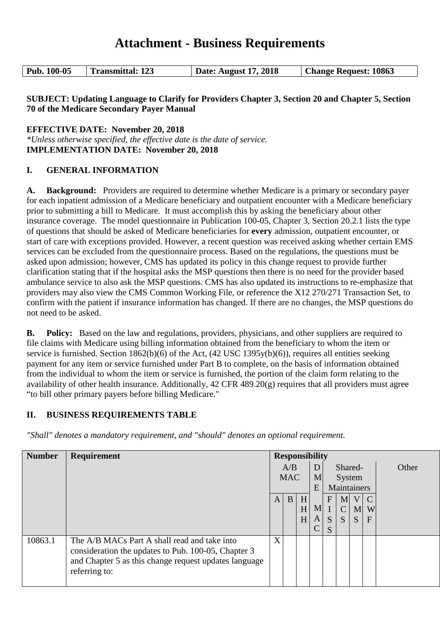# **Attachment - Business Requirements**

#### **SUBJECT: Updating Language to Clarify for Providers Chapter 3, Section 20 and Chapter 5, Section 70 of the Medicare Secondary Payer Manual**

**EFFECTIVE DATE: November 20, 2018**

*\*Unless otherwise specified, the effective date is the date of service.* **IMPLEMENTATION DATE: November 20, 2018**

#### **I. GENERAL INFORMATION**

**A. Background:** Providers are required to determine whether Medicare is a primary or secondary payer for each inpatient admission of a Medicare beneficiary and outpatient encounter with a Medicare beneficiary prior to submitting a bill to Medicare. It must accomplish this by asking the beneficiary about other insurance coverage. The model questionnaire in Publication 100-05, Chapter 3, Section 20.2.1 lists the type of questions that should be asked of Medicare beneficiaries for **every** admission, outpatient encounter, or start of care with exceptions provided. However, a recent question was received asking whether certain EMS services can be excluded from the questionnaire process. Based on the regulations, the questions must be asked upon admission; however, CMS has updated its policy in this change request to provide further clarification stating that if the hospital asks the MSP questions then there is no need for the provider based ambulance service to also ask the MSP questions. CMS has also updated its instructions to re-emphasize that providers may also view the CMS Common Working File, or reference the X12 270/271 Transaction Set, to confirm with the patient if insurance information has changed. If there are no changes, the MSP questions do not need to be asked.

**B. Policy:** Based on the law and regulations, providers, physicians, and other suppliers are required to file claims with Medicare using billing information obtained from the beneficiary to whom the item or service is furnished. Section 1862(b)(6) of the Act, (42 USC 1395y(b)(6)), requires all entities seeking payment for any item or service furnished under Part B to complete, on the basis of information obtained from the individual to whom the item or service is furnished, the portion of the claim form relating to the availability of other health insurance. Additionally, 42 CFR 489.20(g) requires that all providers must agree "to bill other primary payers before billing Medicare."

### **II. BUSINESS REQUIREMENTS TABLE**

| <b>Number</b> | Requirement                                           | <b>Responsibility</b> |   |                |                |               |                |                 |               |  |   |  |         |  |  |       |
|---------------|-------------------------------------------------------|-----------------------|---|----------------|----------------|---------------|----------------|-----------------|---------------|--|---|--|---------|--|--|-------|
|               |                                                       | A/B                   |   |                |                |               |                |                 |               |  | D |  | Shared- |  |  | Other |
|               |                                                       | <b>MAC</b>            |   |                |                |               | M              | System          |               |  |   |  |         |  |  |       |
|               |                                                       |                       |   |                |                | E             |                | Maintainers     |               |  |   |  |         |  |  |       |
|               |                                                       | A                     | B | H <sub>l</sub> |                | $F_{\rm}$     | M <sub>l</sub> | $V_{\parallel}$ | $\mathcal{C}$ |  |   |  |         |  |  |       |
|               |                                                       |                       |   | H              | M <sub>l</sub> |               | $\mathsf{C}$   | M               | W             |  |   |  |         |  |  |       |
|               |                                                       |                       |   | H              | A              | $S_{\text{}}$ | S              | S               | $\mathbf{F}$  |  |   |  |         |  |  |       |
|               |                                                       |                       |   |                | $\mathcal{C}$  | S             |                |                 |               |  |   |  |         |  |  |       |
| 10863.1       | The A/B MACs Part A shall read and take into          | X                     |   |                |                |               |                |                 |               |  |   |  |         |  |  |       |
|               | consideration the updates to Pub. 100-05, Chapter 3   |                       |   |                |                |               |                |                 |               |  |   |  |         |  |  |       |
|               | and Chapter 5 as this change request updates language |                       |   |                |                |               |                |                 |               |  |   |  |         |  |  |       |
|               | referring to:                                         |                       |   |                |                |               |                |                 |               |  |   |  |         |  |  |       |
|               |                                                       |                       |   |                |                |               |                |                 |               |  |   |  |         |  |  |       |

*"Shall" denotes a mandatory requirement, and "should" denotes an optional requirement.*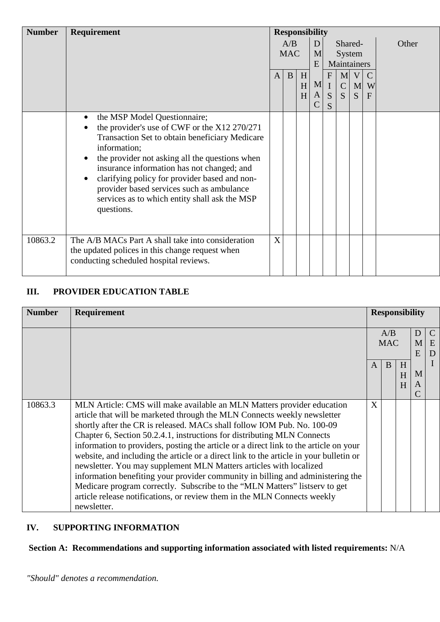| <b>Number</b> | Requirement                                                                                                                                                                                                                                                                                                                                                                                                                                                     | <b>Responsibility</b> |              |             |                                                 |                                   |                                   |                                   |                         |       |
|---------------|-----------------------------------------------------------------------------------------------------------------------------------------------------------------------------------------------------------------------------------------------------------------------------------------------------------------------------------------------------------------------------------------------------------------------------------------------------------------|-----------------------|--------------|-------------|-------------------------------------------------|-----------------------------------|-----------------------------------|-----------------------------------|-------------------------|-------|
|               |                                                                                                                                                                                                                                                                                                                                                                                                                                                                 | A/B<br><b>MAC</b>     |              | D<br>M      |                                                 |                                   |                                   | Shared-<br>System                 |                         | Other |
|               |                                                                                                                                                                                                                                                                                                                                                                                                                                                                 |                       |              | E           | Maintainers                                     |                                   |                                   |                                   |                         |       |
|               |                                                                                                                                                                                                                                                                                                                                                                                                                                                                 | $\mathbf{A}$          | $\mathbf{B}$ | H<br>H<br>H | M <sub>l</sub><br>$\mathbf{A}$<br>$\mathcal{C}$ | $\mathbf{F}$<br>$\mathbf{I}$<br>S | $\mathbf{M}$<br>$\mathsf{C}$<br>S | V<br>$\mathbf{M}$<br><sub>S</sub> | $\mathcal{C}$<br>W<br>F |       |
|               | the MSP Model Questionnaire;<br>$\bullet$<br>the provider's use of CWF or the X12 270/271<br>$\bullet$<br>Transaction Set to obtain beneficiary Medicare<br>information;<br>the provider not asking all the questions when<br>$\bullet$<br>insurance information has not changed; and<br>clarifying policy for provider based and non-<br>$\bullet$<br>provider based services such as ambulance<br>services as to which entity shall ask the MSP<br>questions. |                       |              |             |                                                 | S                                 |                                   |                                   |                         |       |
| 10863.2       | The A/B MACs Part A shall take into consideration<br>the updated polices in this change request when<br>conducting scheduled hospital reviews.                                                                                                                                                                                                                                                                                                                  | X                     |              |             |                                                 |                                   |                                   |                                   |                         |       |

# **III. PROVIDER EDUCATION TABLE**

| <b>Number</b> | Requirement                                                                            |   |            |   | <b>Responsibility</b> |               |  |  |  |  |
|---------------|----------------------------------------------------------------------------------------|---|------------|---|-----------------------|---------------|--|--|--|--|
|               |                                                                                        |   | A/B        |   | $\Box$                | $\mathcal{C}$ |  |  |  |  |
|               |                                                                                        |   | <b>MAC</b> |   | M                     | E             |  |  |  |  |
|               |                                                                                        |   |            |   | E                     | D             |  |  |  |  |
|               |                                                                                        | A | B          | H |                       |               |  |  |  |  |
|               |                                                                                        |   |            | H | M                     |               |  |  |  |  |
|               |                                                                                        |   |            | H | A                     |               |  |  |  |  |
|               |                                                                                        |   |            |   |                       |               |  |  |  |  |
| 10863.3       | MLN Article: CMS will make available an MLN Matters provider education                 | X |            |   |                       |               |  |  |  |  |
|               | article that will be marketed through the MLN Connects weekly newsletter               |   |            |   |                       |               |  |  |  |  |
|               | shortly after the CR is released. MACs shall follow IOM Pub. No. 100-09                |   |            |   |                       |               |  |  |  |  |
|               | Chapter 6, Section 50.2.4.1, instructions for distributing MLN Connects                |   |            |   |                       |               |  |  |  |  |
|               | information to providers, posting the article or a direct link to the article on your  |   |            |   |                       |               |  |  |  |  |
|               | website, and including the article or a direct link to the article in your bulletin or |   |            |   |                       |               |  |  |  |  |
|               | newsletter. You may supplement MLN Matters articles with localized                     |   |            |   |                       |               |  |  |  |  |
|               | information benefiting your provider community in billing and administering the        |   |            |   |                       |               |  |  |  |  |
|               | Medicare program correctly. Subscribe to the "MLN Matters" listsery to get             |   |            |   |                       |               |  |  |  |  |
|               | article release notifications, or review them in the MLN Connects weekly               |   |            |   |                       |               |  |  |  |  |
|               | newsletter.                                                                            |   |            |   |                       |               |  |  |  |  |

## **IV. SUPPORTING INFORMATION**

# **Section A: Recommendations and supporting information associated with listed requirements:** N/A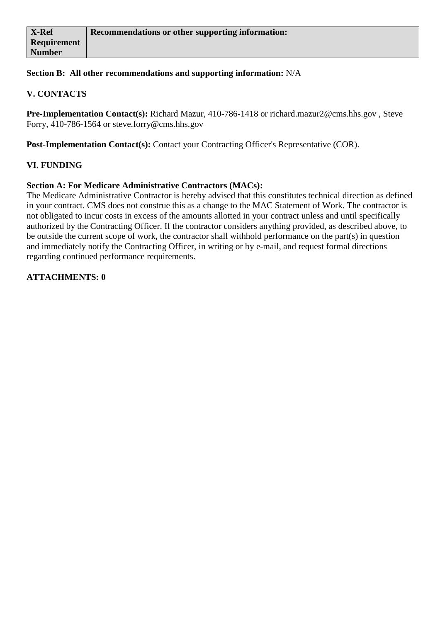#### **Section B: All other recommendations and supporting information:** N/A

#### **V. CONTACTS**

**Pre-Implementation Contact(s):** Richard Mazur, 410-786-1418 or richard.mazur2@cms.hhs.gov , Steve Forry, 410-786-1564 or steve.forry@cms.hhs.gov

**Post-Implementation Contact(s):** Contact your Contracting Officer's Representative (COR).

#### **VI. FUNDING**

#### **Section A: For Medicare Administrative Contractors (MACs):**

The Medicare Administrative Contractor is hereby advised that this constitutes technical direction as defined in your contract. CMS does not construe this as a change to the MAC Statement of Work. The contractor is not obligated to incur costs in excess of the amounts allotted in your contract unless and until specifically authorized by the Contracting Officer. If the contractor considers anything provided, as described above, to be outside the current scope of work, the contractor shall withhold performance on the part(s) in question and immediately notify the Contracting Officer, in writing or by e-mail, and request formal directions regarding continued performance requirements.

#### **ATTACHMENTS: 0**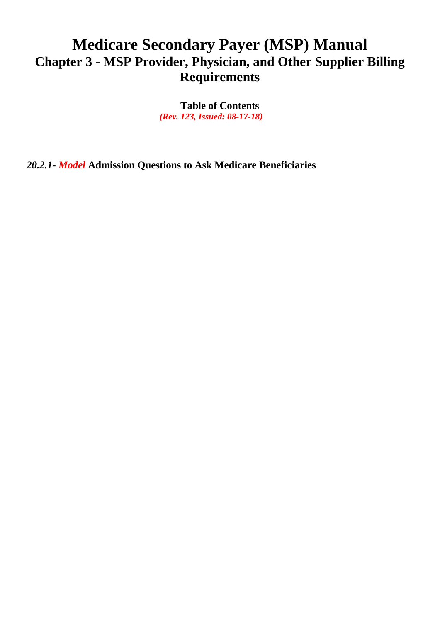# **Medicare Secondary Payer (MSP) Manual Chapter 3 - MSP Provider, Physician, and Other Supplier Billing Requirements**

**Table of Contents** *(Rev. 123, Issued: 08-17-18)*

*20.2.1- Model* **Admission Questions to Ask Medicare Beneficiaries**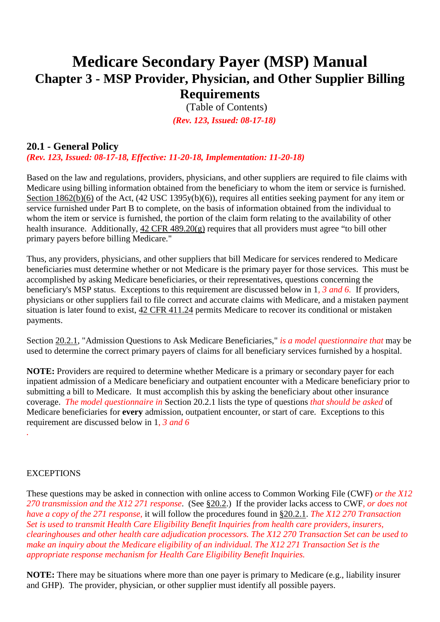# **Medicare Secondary Payer (MSP) Manual Chapter 3 - MSP Provider, Physician, and Other Supplier Billing Requirements**

(Table of Contents)  *(Rev. 123, Issued: 08-17-18)*

# <span id="page-6-0"></span>**20.1 - General Policy**

*(Rev. 123, Issued: 08-17-18, Effective: 11-20-18, Implementation: 11-20-18)*

Based on the law and regulations, providers, physicians, and other suppliers are required to file claims with Medicare using billing information obtained from the beneficiary to whom the item or service is furnished. [Section 1862\(b\)\(6\)](http://www.cms.hhs.gov/regulations/) of the Act, (42 USC 1395y(b)(6)), requires all entities seeking payment for any item or service furnished under Part B to complete, on the basis of information obtained from the individual to whom the item or service is furnished, the portion of the claim form relating to the availability of other health insurance. Additionally, [42 CFR 489.20\(g\)](http://www.cms.hhs.gov/regulations/) requires that all providers must agree "to bill other primary payers before billing Medicare."

Thus, any providers, physicians, and other suppliers that bill Medicare for services rendered to Medicare beneficiaries must determine whether or not Medicare is the primary payer for those services. This must be accomplished by asking Medicare beneficiaries, or their representatives, questions concerning the beneficiary's MSP status. Exceptions to this requirement are discussed below in 1*, 3 and 6.* If providers, physicians or other suppliers fail to file correct and accurate claims with Medicare, and a mistaken payment situation is later found to exist, [42 CFR 411.24](http://www.cms.hhs.gov/regulations/) permits Medicare to recover its conditional or mistaken payments.

Section [20.2.1,](#page-11-0) "Admission Questions to Ask Medicare Beneficiaries," *is a model questionnaire that* may be used to determine the correct primary payers of claims for all beneficiary services furnished by a hospital.

**NOTE:** Providers are required to determine whether Medicare is a primary or secondary payer for each inpatient admission of a Medicare beneficiary and outpatient encounter with a Medicare beneficiary prior to submitting a bill to Medicare. It must accomplish this by asking the beneficiary about other insurance coverage. *The model questionnaire in* Section 20.2.1 lists the type of questions *that should be asked* of Medicare beneficiaries for **every** admission, outpatient encounter, or start of care. Exceptions to this requirement are discussed below in 1*, 3 and 6*

#### **EXCEPTIONS**

*.*

These questions may be asked in connection with online access to Common Working File (CWF) *or the X12 270 transmission and the X12 271 response*. (See [§20.2.](#page-10-0)) If the provider lacks access to CWF*, or does not have a copy of the 271 response,* it will follow the procedures found in [§20.2.1.](#page-11-0) *The X12 270 Transaction Set is used to transmit Health Care Eligibility Benefit Inquiries from health care providers, insurers, clearinghouses and other health care adjudication processors. The X12 270 Transaction Set can be used to make an inquiry about the Medicare eligibility of an individual. The X12 271 Transaction Set is the appropriate response mechanism for Health Care Eligibility Benefit Inquiries.*

**NOTE:** There may be situations where more than one payer is primary to Medicare (e.g., liability insurer and GHP). The provider, physician, or other supplier must identify all possible payers.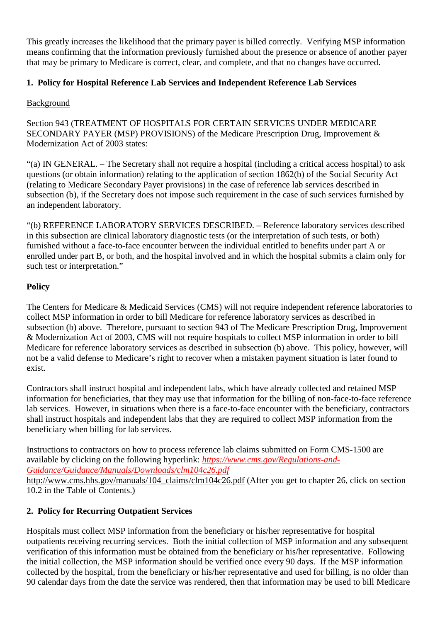This greatly increases the likelihood that the primary payer is billed correctly. Verifying MSP information means confirming that the information previously furnished about the presence or absence of another payer that may be primary to Medicare is correct, clear, and complete, and that no changes have occurred.

## **1. Policy for Hospital Reference Lab Services and Independent Reference Lab Services**

## Background

Section 943 (TREATMENT OF HOSPITALS FOR CERTAIN SERVICES UNDER MEDICARE SECONDARY PAYER (MSP) PROVISIONS) of the Medicare Prescription Drug, Improvement & Modernization Act of 2003 states:

"(a) IN GENERAL. – The Secretary shall not require a hospital (including a critical access hospital) to ask questions (or obtain information) relating to the application of section 1862(b) of the Social Security Act (relating to Medicare Secondary Payer provisions) in the case of reference lab services described in subsection (b), if the Secretary does not impose such requirement in the case of such services furnished by an independent laboratory.

"(b) REFERENCE LABORATORY SERVICES DESCRIBED. – Reference laboratory services described in this subsection are clinical laboratory diagnostic tests (or the interpretation of such tests, or both) furnished without a face-to-face encounter between the individual entitled to benefits under part A or enrolled under part B, or both, and the hospital involved and in which the hospital submits a claim only for such test or interpretation."

## **Policy**

The Centers for Medicare & Medicaid Services (CMS) will not require independent reference laboratories to collect MSP information in order to bill Medicare for reference laboratory services as described in subsection (b) above. Therefore, pursuant to section 943 of The Medicare Prescription Drug, Improvement & Modernization Act of 2003, CMS will not require hospitals to collect MSP information in order to bill Medicare for reference laboratory services as described in subsection (b) above. This policy, however, will not be a valid defense to Medicare's right to recover when a mistaken payment situation is later found to exist.

Contractors shall instruct hospital and independent labs, which have already collected and retained MSP information for beneficiaries, that they may use that information for the billing of non-face-to-face reference lab services. However, in situations when there is a face-to-face encounter with the beneficiary, contractors shall instruct hospitals and independent labs that they are required to collect MSP information from the beneficiary when billing for lab services.

Instructions to contractors on how to process reference lab claims submitted on Form CMS-1500 are available by clicking on the following hyperlink: *[https://www.cms.gov/Regulations-and-](https://www.cms.gov/Regulations-and-Guidance/Guidance/Manuals/Downloads/clm104c26.pdf)[Guidance/Guidance/Manuals/Downloads/clm104c26.pdf](https://www.cms.gov/Regulations-and-Guidance/Guidance/Manuals/Downloads/clm104c26.pdf)* [http://www.cms.hhs.gov/manuals/104\\_claims/clm104c26.pdf](http://www.cms.hhs.gov/manuals/104_claims/clm104c26.pdf) (After you get to chapter 26, click on section 10.2 in the Table of Contents.)

### **2. Policy for Recurring Outpatient Services**

Hospitals must collect MSP information from the beneficiary or his/her representative for hospital outpatients receiving recurring services. Both the initial collection of MSP information and any subsequent verification of this information must be obtained from the beneficiary or his/her representative. Following the initial collection, the MSP information should be verified once every 90 days. If the MSP information collected by the hospital, from the beneficiary or his/her representative and used for billing, is no older than 90 calendar days from the date the service was rendered, then that information may be used to bill Medicare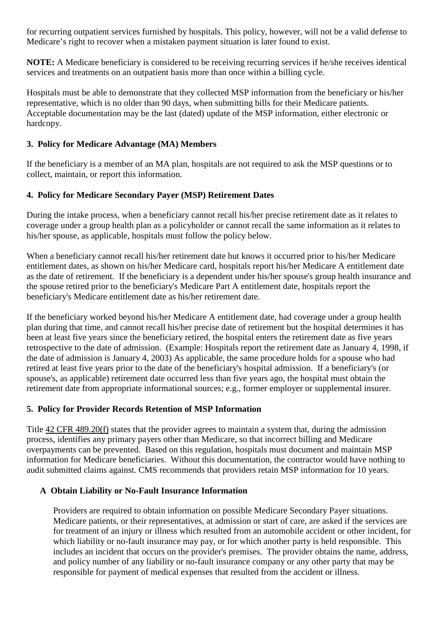for recurring outpatient services furnished by hospitals. This policy, however, will not be a valid defense to Medicare's right to recover when a mistaken payment situation is later found to exist.

**NOTE:** A Medicare beneficiary is considered to be receiving recurring services if he/she receives identical services and treatments on an outpatient basis more than once within a billing cycle.

Hospitals must be able to demonstrate that they collected MSP information from the beneficiary or his/her representative, which is no older than 90 days, when submitting bills for their Medicare patients. Acceptable documentation may be the last (dated) update of the MSP information, either electronic or hardcopy.

#### **3. Policy for Medicare Advantage (MA) Members**

If the beneficiary is a member of an MA plan, hospitals are not required to ask the MSP questions or to collect, maintain, or report this information.

### **4. Policy for Medicare Secondary Payer (MSP) Retirement Dates**

During the intake process, when a beneficiary cannot recall his/her precise retirement date as it relates to coverage under a group health plan as a policyholder or cannot recall the same information as it relates to his/her spouse, as applicable, hospitals must follow the policy below.

When a beneficiary cannot recall his/her retirement date but knows it occurred prior to his/her Medicare entitlement dates, as shown on his/her Medicare card, hospitals report his/her Medicare A entitlement date as the date of retirement. If the beneficiary is a dependent under his/her spouse's group health insurance and the spouse retired prior to the beneficiary's Medicare Part A entitlement date, hospitals report the beneficiary's Medicare entitlement date as his/her retirement date.

If the beneficiary worked beyond his/her Medicare A entitlement date, had coverage under a group health plan during that time, and cannot recall his/her precise date of retirement but the hospital determines it has been at least five years since the beneficiary retired, the hospital enters the retirement date as five years retrospective to the date of admission. (Example: Hospitals report the retirement date as January 4, 1998, if the date of admission is January 4, 2003) As applicable, the same procedure holds for a spouse who had retired at least five years prior to the date of the beneficiary's hospital admission. If a beneficiary's (or spouse's, as applicable) retirement date occurred less than five years ago, the hospital must obtain the retirement date from appropriate informational sources; e.g., former employer or supplemental insurer.

#### **5. Policy for Provider Records Retention of MSP Information**

Title [42 CFR 489.20\(f\)](http://www.cms.hhs.gov/regulations/) states that the provider agrees to maintain a system that, during the admission process, identifies any primary payers other than Medicare, so that incorrect billing and Medicare overpayments can be prevented. Based on this regulation, hospitals must document and maintain MSP information for Medicare beneficiaries. Without this documentation, the contractor would have nothing to audit submitted claims against. CMS recommends that providers retain MSP information for 10 years.

#### **A Obtain Liability or No-Fault Insurance Information**

Providers are required to obtain information on possible Medicare Secondary Payer situations. Medicare patients, or their representatives, at admission or start of care, are asked if the services are for treatment of an injury or illness which resulted from an automobile accident or other incident, for which liability or no-fault insurance may pay, or for which another party is held responsible. This includes an incident that occurs on the provider's premises. The provider obtains the name, address, and policy number of any liability or no-fault insurance company or any other party that may be responsible for payment of medical expenses that resulted from the accident or illness.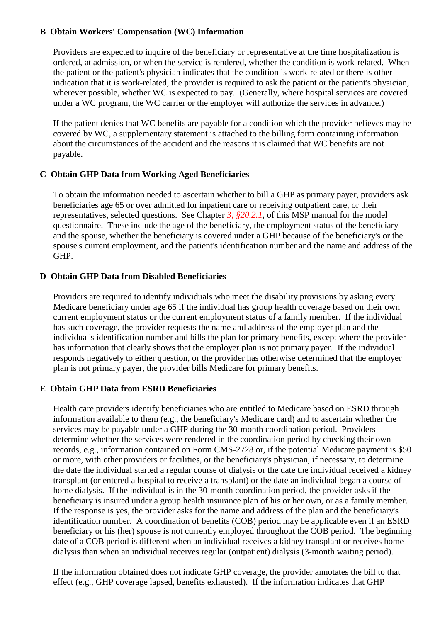#### **B Obtain Workers' Compensation (WC) Information**

Providers are expected to inquire of the beneficiary or representative at the time hospitalization is ordered, at admission, or when the service is rendered, whether the condition is work-related. When the patient or the patient's physician indicates that the condition is work-related or there is other indication that it is work-related, the provider is required to ask the patient or the patient's physician, wherever possible, whether WC is expected to pay. (Generally, where hospital services are covered under a WC program, the WC carrier or the employer will authorize the services in advance.)

If the patient denies that WC benefits are payable for a condition which the provider believes may be covered by WC, a supplementary statement is attached to the billing form containing information about the circumstances of the accident and the reasons it is claimed that WC benefits are not payable.

#### **C Obtain GHP Data from Working Aged Beneficiaries**

To obtain the information needed to ascertain whether to bill a GHP as primary payer, providers ask beneficiaries age 65 or over admitted for inpatient care or receiving outpatient care, or their representatives, selected questions. See Chapter *3, §20.2.1*, of this MSP manual for the model questionnaire. These include the age of the beneficiary, the employment status of the beneficiary and the spouse, whether the beneficiary is covered under a GHP because of the beneficiary's or the spouse's current employment, and the patient's identification number and the name and address of the GHP.

#### **D Obtain GHP Data from Disabled Beneficiaries**

Providers are required to identify individuals who meet the disability provisions by asking every Medicare beneficiary under age 65 if the individual has group health coverage based on their own current employment status or the current employment status of a family member. If the individual has such coverage, the provider requests the name and address of the employer plan and the individual's identification number and bills the plan for primary benefits, except where the provider has information that clearly shows that the employer plan is not primary payer. If the individual responds negatively to either question, or the provider has otherwise determined that the employer plan is not primary payer, the provider bills Medicare for primary benefits.

#### **E Obtain GHP Data from ESRD Beneficiaries**

Health care providers identify beneficiaries who are entitled to Medicare based on ESRD through information available to them (e.g., the beneficiary's Medicare card) and to ascertain whether the services may be payable under a GHP during the 30-month coordination period. Providers determine whether the services were rendered in the coordination period by checking their own records, e.g., information contained on Form CMS-2728 or, if the potential Medicare payment is \$50 or more, with other providers or facilities, or the beneficiary's physician, if necessary, to determine the date the individual started a regular course of dialysis or the date the individual received a kidney transplant (or entered a hospital to receive a transplant) or the date an individual began a course of home dialysis. If the individual is in the 30-month coordination period, the provider asks if the beneficiary is insured under a group health insurance plan of his or her own, or as a family member. If the response is yes, the provider asks for the name and address of the plan and the beneficiary's identification number. A coordination of benefits (COB) period may be applicable even if an ESRD beneficiary or his (her) spouse is not currently employed throughout the COB period. The beginning date of a COB period is different when an individual receives a kidney transplant or receives home dialysis than when an individual receives regular (outpatient) dialysis (3-month waiting period).

If the information obtained does not indicate GHP coverage, the provider annotates the bill to that effect (e.g., GHP coverage lapsed, benefits exhausted). If the information indicates that GHP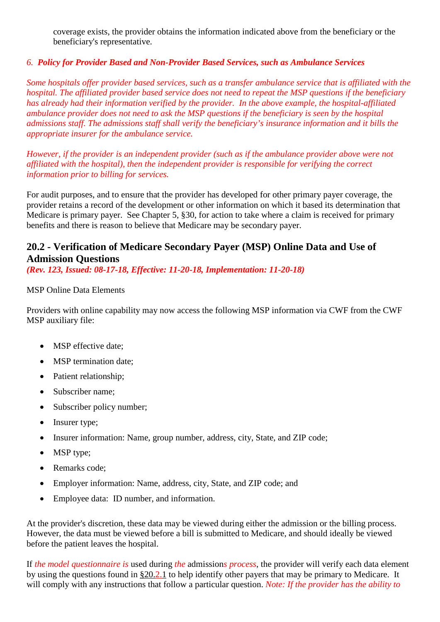coverage exists, the provider obtains the information indicated above from the beneficiary or the beneficiary's representative.

### *6. Policy for Provider Based and Non-Provider Based Services, such as Ambulance Services*

*Some hospitals offer provider based services, such as a transfer ambulance service that is affiliated with the hospital. The affiliated provider based service does not need to repeat the MSP questions if the beneficiary has already had their information verified by the provider. In the above example, the hospital-affiliated ambulance provider does not need to ask the MSP questions if the beneficiary is seen by the hospital admissions staff. The admissions staff shall verify the beneficiary's insurance information and it bills the appropriate insurer for the ambulance service.*

*However, if the provider is an independent provider (such as if the ambulance provider above were not affiliated with the hospital), then the independent provider is responsible for verifying the correct information prior to billing for services.*

For audit purposes, and to ensure that the provider has developed for other primary payer coverage, the provider retains a record of the development or other information on which it based its determination that Medicare is primary payer. See Chapter 5, §30, for action to take where a claim is received for primary benefits and there is reason to believe that Medicare may be secondary payer.

# <span id="page-10-0"></span>**20.2 - Verification of Medicare Secondary Payer (MSP) Online Data and Use of Admission Questions**

*(Rev. 123, Issued: 08-17-18, Effective: 11-20-18, Implementation: 11-20-18)*

### MSP Online Data Elements

Providers with online capability may now access the following MSP information via CWF from the CWF MSP auxiliary file:

- MSP effective date:
- MSP termination date;
- Patient relationship;
- Subscriber name;
- Subscriber policy number;
- Insurer type;
- Insurer information: Name, group number, address, city, State, and ZIP code;
- MSP type;
- Remarks code;
- Employer information: Name, address, city, State, and ZIP code; and
- Employee data: ID number, and information.

At the provider's discretion, these data may be viewed during either the admission or the billing process. However, the data must be viewed before a bill is submitted to Medicare, and should ideally be viewed before the patient leaves the hospital.

If *the model questionnaire is* used during *the* admission*s process*, the provider will verify each data element by using the questions found in [§20.2.1](#page-6-0) to help identify other payers that may be primary to Medicare. It will comply with any instructions that follow a particular question. *Note: If the provider has the ability to*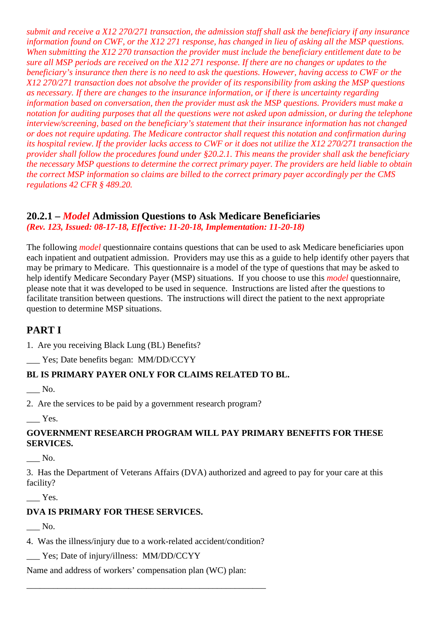*submit and receive a X12 270/271 transaction, the admission staff shall ask the beneficiary if any insurance information found on CWF, or the X12 271 response, has changed in lieu of asking all the MSP questions. When submitting the X12 270 transaction the provider must include the beneficiary entitlement date to be sure all MSP periods are received on the X12 271 response. If there are no changes or updates to the beneficiary's insurance then there is no need to ask the questions. However, having access to CWF or the X12 270/271 transaction does not absolve the provider of its responsibility from asking the MSP questions as necessary. If there are changes to the insurance information, or if there is uncertainty regarding information based on conversation, then the provider must ask the MSP questions. Providers must make a notation for auditing purposes that all the questions were not asked upon admission, or during the telephone interview/screening, based on the beneficiary's statement that their insurance information has not changed or does not require updating. The Medicare contractor shall request this notation and confirmation during its hospital review. If the provider lacks access to CWF or it does not utilize the X12 270/271 transaction the provider shall follow the procedures found under §20.2.1. This means the provider shall ask the beneficiary the necessary MSP questions to determine the correct primary payer. The providers are held liable to obtain the correct MSP information so claims are billed to the correct primary payer accordingly per the CMS regulations 42 CFR § 489.20.*

# <span id="page-11-0"></span>**20.2.1 –** *Model* **Admission Questions to Ask Medicare Beneficiaries**

*(Rev. 123, Issued: 08-17-18, Effective: 11-20-18, Implementation: 11-20-18)*

The following *model* questionnaire contains questions that can be used to ask Medicare beneficiaries upon each inpatient and outpatient admission. Providers may use this as a guide to help identify other payers that may be primary to Medicare. This questionnaire is a model of the type of questions that may be asked to help identify Medicare Secondary Payer (MSP) situations. If you choose to use this *model* questionnaire, please note that it was developed to be used in sequence. Instructions are listed after the questions to facilitate transition between questions. The instructions will direct the patient to the next appropriate question to determine MSP situations.

# **PART I**

1. Are you receiving Black Lung (BL) Benefits?

\_\_\_ Yes; Date benefits began: MM/DD/CCYY

### **BL IS PRIMARY PAYER ONLY FOR CLAIMS RELATED TO BL.**

\_\_\_ No.

2. Are the services to be paid by a government research program?

 $\equiv$  Yes.

### **GOVERNMENT RESEARCH PROGRAM WILL PAY PRIMARY BENEFITS FOR THESE SERVICES.**

\_\_\_ No.

3. Has the Department of Veterans Affairs (DVA) authorized and agreed to pay for your care at this facility?

Yes.

### **DVA IS PRIMARY FOR THESE SERVICES.**

 $\_\_$  No.

4. Was the illness/injury due to a work-related accident/condition?

\_\_\_\_\_\_\_\_\_\_\_\_\_\_\_\_\_\_\_\_\_\_\_\_\_\_\_\_\_\_\_\_\_\_\_\_\_\_\_\_\_\_\_\_\_\_\_\_\_\_\_\_\_\_

\_\_\_ Yes; Date of injury/illness: MM/DD/CCYY

Name and address of workers' compensation plan (WC) plan: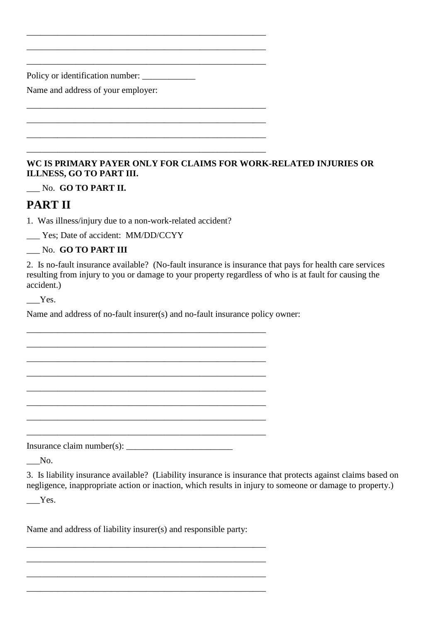Policy or identification number: \_\_\_\_\_\_\_\_\_\_\_\_

Name and address of your employer:

## **WC IS PRIMARY PAYER ONLY FOR CLAIMS FOR WORK-RELATED INJURIES OR ILLNESS, GO TO PART III.**

\_\_\_ No. **GO TO PART II.**

# **PART II**

1. Was illness/injury due to a non-work-related accident?

\_\_\_\_\_\_\_\_\_\_\_\_\_\_\_\_\_\_\_\_\_\_\_\_\_\_\_\_\_\_\_\_\_\_\_\_\_\_\_\_\_\_\_\_\_\_\_\_\_\_\_\_\_\_ \_\_\_\_\_\_\_\_\_\_\_\_\_\_\_\_\_\_\_\_\_\_\_\_\_\_\_\_\_\_\_\_\_\_\_\_\_\_\_\_\_\_\_\_\_\_\_\_\_\_\_\_\_\_ \_\_\_\_\_\_\_\_\_\_\_\_\_\_\_\_\_\_\_\_\_\_\_\_\_\_\_\_\_\_\_\_\_\_\_\_\_\_\_\_\_\_\_\_\_\_\_\_\_\_\_\_\_\_

\_\_\_\_\_\_\_\_\_\_\_\_\_\_\_\_\_\_\_\_\_\_\_\_\_\_\_\_\_\_\_\_\_\_\_\_\_\_\_\_\_\_\_\_\_\_\_\_\_\_\_\_\_\_ \_\_\_\_\_\_\_\_\_\_\_\_\_\_\_\_\_\_\_\_\_\_\_\_\_\_\_\_\_\_\_\_\_\_\_\_\_\_\_\_\_\_\_\_\_\_\_\_\_\_\_\_\_\_ \_\_\_\_\_\_\_\_\_\_\_\_\_\_\_\_\_\_\_\_\_\_\_\_\_\_\_\_\_\_\_\_\_\_\_\_\_\_\_\_\_\_\_\_\_\_\_\_\_\_\_\_\_\_ \_\_\_\_\_\_\_\_\_\_\_\_\_\_\_\_\_\_\_\_\_\_\_\_\_\_\_\_\_\_\_\_\_\_\_\_\_\_\_\_\_\_\_\_\_\_\_\_\_\_\_\_\_\_

\_\_\_ Yes; Date of accident: MM/DD/CCYY

\_\_\_ No. **GO TO PART III**

2. Is no-fault insurance available? (No-fault insurance is insurance that pays for health care services resulting from injury to you or damage to your property regardless of who is at fault for causing the accident.)

\_\_\_Yes.

Name and address of no-fault insurer(s) and no-fault insurance policy owner:

\_\_\_\_\_\_\_\_\_\_\_\_\_\_\_\_\_\_\_\_\_\_\_\_\_\_\_\_\_\_\_\_\_\_\_\_\_\_\_\_\_\_\_\_\_\_\_\_\_\_\_\_\_\_ \_\_\_\_\_\_\_\_\_\_\_\_\_\_\_\_\_\_\_\_\_\_\_\_\_\_\_\_\_\_\_\_\_\_\_\_\_\_\_\_\_\_\_\_\_\_\_\_\_\_\_\_\_\_ \_\_\_\_\_\_\_\_\_\_\_\_\_\_\_\_\_\_\_\_\_\_\_\_\_\_\_\_\_\_\_\_\_\_\_\_\_\_\_\_\_\_\_\_\_\_\_\_\_\_\_\_\_\_ \_\_\_\_\_\_\_\_\_\_\_\_\_\_\_\_\_\_\_\_\_\_\_\_\_\_\_\_\_\_\_\_\_\_\_\_\_\_\_\_\_\_\_\_\_\_\_\_\_\_\_\_\_\_ \_\_\_\_\_\_\_\_\_\_\_\_\_\_\_\_\_\_\_\_\_\_\_\_\_\_\_\_\_\_\_\_\_\_\_\_\_\_\_\_\_\_\_\_\_\_\_\_\_\_\_\_\_\_ \_\_\_\_\_\_\_\_\_\_\_\_\_\_\_\_\_\_\_\_\_\_\_\_\_\_\_\_\_\_\_\_\_\_\_\_\_\_\_\_\_\_\_\_\_\_\_\_\_\_\_\_\_\_ \_\_\_\_\_\_\_\_\_\_\_\_\_\_\_\_\_\_\_\_\_\_\_\_\_\_\_\_\_\_\_\_\_\_\_\_\_\_\_\_\_\_\_\_\_\_\_\_\_\_\_\_\_\_ \_\_\_\_\_\_\_\_\_\_\_\_\_\_\_\_\_\_\_\_\_\_\_\_\_\_\_\_\_\_\_\_\_\_\_\_\_\_\_\_\_\_\_\_\_\_\_\_\_\_\_\_\_\_

Insurance claim number(s): \_\_\_\_\_\_\_\_\_\_\_\_\_\_\_\_\_\_\_\_\_\_\_\_

 $\_\_$ No.

3. Is liability insurance available? (Liability insurance is insurance that protects against claims based on negligence, inappropriate action or inaction, which results in injury to someone or damage to property.)

\_\_\_Yes.

Name and address of liability insurer(s) and responsible party:

\_\_\_\_\_\_\_\_\_\_\_\_\_\_\_\_\_\_\_\_\_\_\_\_\_\_\_\_\_\_\_\_\_\_\_\_\_\_\_\_\_\_\_\_\_\_\_\_\_\_\_\_\_\_ \_\_\_\_\_\_\_\_\_\_\_\_\_\_\_\_\_\_\_\_\_\_\_\_\_\_\_\_\_\_\_\_\_\_\_\_\_\_\_\_\_\_\_\_\_\_\_\_\_\_\_\_\_\_ \_\_\_\_\_\_\_\_\_\_\_\_\_\_\_\_\_\_\_\_\_\_\_\_\_\_\_\_\_\_\_\_\_\_\_\_\_\_\_\_\_\_\_\_\_\_\_\_\_\_\_\_\_\_ \_\_\_\_\_\_\_\_\_\_\_\_\_\_\_\_\_\_\_\_\_\_\_\_\_\_\_\_\_\_\_\_\_\_\_\_\_\_\_\_\_\_\_\_\_\_\_\_\_\_\_\_\_\_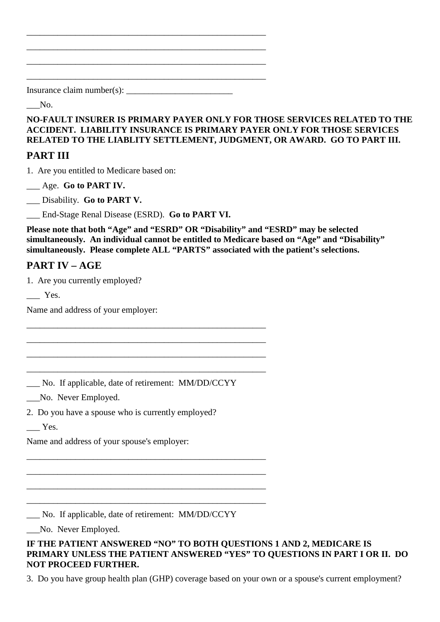Insurance claim number(s):  $\frac{1}{\frac{1}{2}}$ 

\_\_\_\_\_\_\_\_\_\_\_\_\_\_\_\_\_\_\_\_\_\_\_\_\_\_\_\_\_\_\_\_\_\_\_\_\_\_\_\_\_\_\_\_\_\_\_\_\_\_\_\_\_\_ \_\_\_\_\_\_\_\_\_\_\_\_\_\_\_\_\_\_\_\_\_\_\_\_\_\_\_\_\_\_\_\_\_\_\_\_\_\_\_\_\_\_\_\_\_\_\_\_\_\_\_\_\_\_ \_\_\_\_\_\_\_\_\_\_\_\_\_\_\_\_\_\_\_\_\_\_\_\_\_\_\_\_\_\_\_\_\_\_\_\_\_\_\_\_\_\_\_\_\_\_\_\_\_\_\_\_\_\_ \_\_\_\_\_\_\_\_\_\_\_\_\_\_\_\_\_\_\_\_\_\_\_\_\_\_\_\_\_\_\_\_\_\_\_\_\_\_\_\_\_\_\_\_\_\_\_\_\_\_\_\_\_\_

 $\sim$  No.

**NO-FAULT INSURER IS PRIMARY PAYER ONLY FOR THOSE SERVICES RELATED TO THE ACCIDENT. LIABILITY INSURANCE IS PRIMARY PAYER ONLY FOR THOSE SERVICES RELATED TO THE LIABLITY SETTLEMENT, JUDGMENT, OR AWARD. GO TO PART III.**

# **PART III**

1. Are you entitled to Medicare based on:

\_\_\_ Age. **Go to PART IV.**

\_\_\_ Disability. **Go to PART V.**

\_\_\_ End-Stage Renal Disease (ESRD). **Go to PART VI.**

**Please note that both "Age" and "ESRD" OR "Disability" and "ESRD" may be selected simultaneously. An individual cannot be entitled to Medicare based on "Age" and "Disability" simultaneously. Please complete ALL "PARTS" associated with the patient's selections.**

# **PART IV – AGE**

1. Are you currently employed?

Yes.

Name and address of your employer:

\_\_\_ No. If applicable, date of retirement: MM/DD/CCYY

\_\_\_\_\_\_\_\_\_\_\_\_\_\_\_\_\_\_\_\_\_\_\_\_\_\_\_\_\_\_\_\_\_\_\_\_\_\_\_\_\_\_\_\_\_\_\_\_\_\_\_\_\_\_ \_\_\_\_\_\_\_\_\_\_\_\_\_\_\_\_\_\_\_\_\_\_\_\_\_\_\_\_\_\_\_\_\_\_\_\_\_\_\_\_\_\_\_\_\_\_\_\_\_\_\_\_\_\_ \_\_\_\_\_\_\_\_\_\_\_\_\_\_\_\_\_\_\_\_\_\_\_\_\_\_\_\_\_\_\_\_\_\_\_\_\_\_\_\_\_\_\_\_\_\_\_\_\_\_\_\_\_\_ \_\_\_\_\_\_\_\_\_\_\_\_\_\_\_\_\_\_\_\_\_\_\_\_\_\_\_\_\_\_\_\_\_\_\_\_\_\_\_\_\_\_\_\_\_\_\_\_\_\_\_\_\_\_

\_\_\_No. Never Employed.

2. Do you have a spouse who is currently employed?

Yes.

Name and address of your spouse's employer:

\_\_\_ No. If applicable, date of retirement: MM/DD/CCYY

\_\_\_\_\_\_\_\_\_\_\_\_\_\_\_\_\_\_\_\_\_\_\_\_\_\_\_\_\_\_\_\_\_\_\_\_\_\_\_\_\_\_\_\_\_\_\_\_\_\_\_\_\_\_ \_\_\_\_\_\_\_\_\_\_\_\_\_\_\_\_\_\_\_\_\_\_\_\_\_\_\_\_\_\_\_\_\_\_\_\_\_\_\_\_\_\_\_\_\_\_\_\_\_\_\_\_\_\_ \_\_\_\_\_\_\_\_\_\_\_\_\_\_\_\_\_\_\_\_\_\_\_\_\_\_\_\_\_\_\_\_\_\_\_\_\_\_\_\_\_\_\_\_\_\_\_\_\_\_\_\_\_\_ \_\_\_\_\_\_\_\_\_\_\_\_\_\_\_\_\_\_\_\_\_\_\_\_\_\_\_\_\_\_\_\_\_\_\_\_\_\_\_\_\_\_\_\_\_\_\_\_\_\_\_\_\_\_

\_\_\_No. Never Employed.

**IF THE PATIENT ANSWERED "NO" TO BOTH QUESTIONS 1 AND 2, MEDICARE IS PRIMARY UNLESS THE PATIENT ANSWERED "YES" TO QUESTIONS IN PART I OR II. DO NOT PROCEED FURTHER.**

3. Do you have group health plan (GHP) coverage based on your own or a spouse's current employment?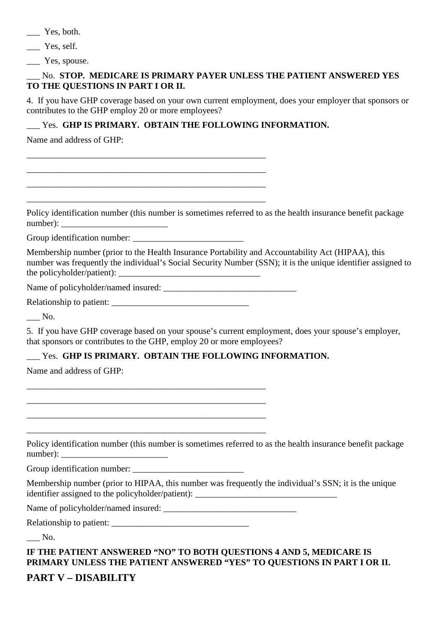Yes, both.

Yes, self.

\_\_\_ Yes, spouse.

#### \_\_\_ No. **STOP. MEDICARE IS PRIMARY PAYER UNLESS THE PATIENT ANSWERED YES TO THE QUESTIONS IN PART I OR II.**

4. If you have GHP coverage based on your own current employment, does your employer that sponsors or contributes to the GHP employ 20 or more employees?

## \_\_\_ Yes. **GHP IS PRIMARY. OBTAIN THE FOLLOWING INFORMATION.**

\_\_\_\_\_\_\_\_\_\_\_\_\_\_\_\_\_\_\_\_\_\_\_\_\_\_\_\_\_\_\_\_\_\_\_\_\_\_\_\_\_\_\_\_\_\_\_\_\_\_\_\_\_\_ \_\_\_\_\_\_\_\_\_\_\_\_\_\_\_\_\_\_\_\_\_\_\_\_\_\_\_\_\_\_\_\_\_\_\_\_\_\_\_\_\_\_\_\_\_\_\_\_\_\_\_\_\_\_ \_\_\_\_\_\_\_\_\_\_\_\_\_\_\_\_\_\_\_\_\_\_\_\_\_\_\_\_\_\_\_\_\_\_\_\_\_\_\_\_\_\_\_\_\_\_\_\_\_\_\_\_\_\_ \_\_\_\_\_\_\_\_\_\_\_\_\_\_\_\_\_\_\_\_\_\_\_\_\_\_\_\_\_\_\_\_\_\_\_\_\_\_\_\_\_\_\_\_\_\_\_\_\_\_\_\_\_\_

Name and address of GHP:

Policy identification number (this number is sometimes referred to as the health insurance benefit package number):

Group identification number: \_\_\_\_\_\_\_\_\_\_\_\_\_\_\_\_\_\_\_\_\_\_\_\_\_

Membership number (prior to the Health Insurance Portability and Accountability Act (HIPAA), this number was frequently the individual's Social Security Number (SSN); it is the unique identifier assigned to the policyholder/patient):  $\Box$ 

Name of policyholder/named insured:

Relationship to patient: \_\_\_\_\_\_\_\_\_\_\_\_\_\_\_\_\_\_\_\_\_\_\_\_\_\_\_\_\_\_\_

\_\_\_\_\_\_\_\_\_\_\_\_\_\_\_\_\_\_\_\_\_\_\_\_\_\_\_\_\_\_\_\_\_\_\_\_\_\_\_\_\_\_\_\_\_\_\_\_\_\_\_\_\_\_ \_\_\_\_\_\_\_\_\_\_\_\_\_\_\_\_\_\_\_\_\_\_\_\_\_\_\_\_\_\_\_\_\_\_\_\_\_\_\_\_\_\_\_\_\_\_\_\_\_\_\_\_\_\_ \_\_\_\_\_\_\_\_\_\_\_\_\_\_\_\_\_\_\_\_\_\_\_\_\_\_\_\_\_\_\_\_\_\_\_\_\_\_\_\_\_\_\_\_\_\_\_\_\_\_\_\_\_\_ \_\_\_\_\_\_\_\_\_\_\_\_\_\_\_\_\_\_\_\_\_\_\_\_\_\_\_\_\_\_\_\_\_\_\_\_\_\_\_\_\_\_\_\_\_\_\_\_\_\_\_\_\_\_

 $\_$  No.

5. If you have GHP coverage based on your spouse's current employment, does your spouse's employer, that sponsors or contributes to the GHP, employ 20 or more employees?

### \_\_\_ Yes. **GHP IS PRIMARY. OBTAIN THE FOLLOWING INFORMATION.**

Name and address of GHP:

Policy identification number (this number is sometimes referred to as the health insurance benefit package number): \_\_\_\_\_\_\_\_\_\_\_\_\_\_\_\_\_\_\_\_\_\_\_\_

Group identification number: \_\_\_\_\_\_\_\_\_\_\_\_\_\_\_\_\_\_\_\_\_\_\_\_\_

Membership number (prior to HIPAA, this number was frequently the individual's SSN; it is the unique identifier assigned to the policyholder/patient): \_\_\_\_\_\_\_\_\_\_\_\_\_\_\_\_\_\_\_\_\_\_\_\_\_\_\_\_\_\_\_\_

Name of policyholder/named insured: \_\_\_\_\_\_\_\_\_\_\_\_\_\_\_\_\_\_\_\_\_\_\_\_\_\_\_\_\_\_

Relationship to patient:

 $\overline{\phantom{a}}$  No.

**IF THE PATIENT ANSWERED "NO" TO BOTH QUESTIONS 4 AND 5, MEDICARE IS PRIMARY UNLESS THE PATIENT ANSWERED "YES" TO QUESTIONS IN PART I OR II.**

# **PART V – DISABILITY**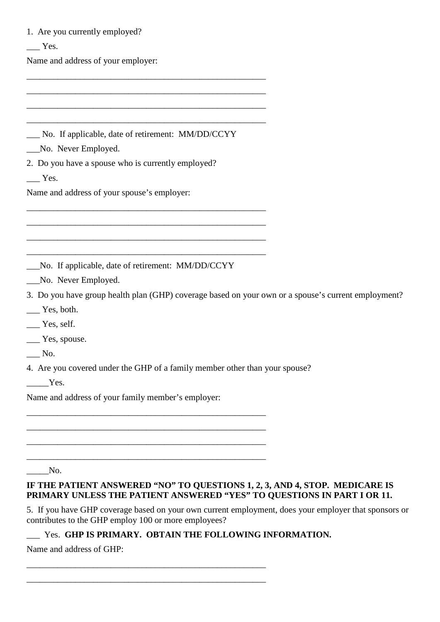| 1. Are you currently employed?                                                                                                                                |  |
|---------------------------------------------------------------------------------------------------------------------------------------------------------------|--|
| $\equiv$ Yes.                                                                                                                                                 |  |
| Name and address of your employer:                                                                                                                            |  |
|                                                                                                                                                               |  |
|                                                                                                                                                               |  |
|                                                                                                                                                               |  |
|                                                                                                                                                               |  |
| No. If applicable, date of retirement: MM/DD/CCYY                                                                                                             |  |
| No. Never Employed.                                                                                                                                           |  |
| 2. Do you have a spouse who is currently employed?<br>$\equiv$ Yes.                                                                                           |  |
| Name and address of your spouse's employer:                                                                                                                   |  |
|                                                                                                                                                               |  |
|                                                                                                                                                               |  |
|                                                                                                                                                               |  |
| No. If applicable, date of retirement: MM/DD/CCYY                                                                                                             |  |
| No. Never Employed.                                                                                                                                           |  |
| 3. Do you have group health plan (GHP) coverage based on your own or a spouse's current employment?                                                           |  |
| $\equiv$ Yes, both.                                                                                                                                           |  |
| Yes, self.                                                                                                                                                    |  |
| <u>yes</u> , spouse.                                                                                                                                          |  |
| No.                                                                                                                                                           |  |
| 4. Are you covered under the GHP of a family member other than your spouse?                                                                                   |  |
| Yes.                                                                                                                                                          |  |
| Name and address of your family member's employer:                                                                                                            |  |
|                                                                                                                                                               |  |
|                                                                                                                                                               |  |
|                                                                                                                                                               |  |
|                                                                                                                                                               |  |
| No.                                                                                                                                                           |  |
| IF THE PATIENT ANSWERED "NO" TO QUESTIONS 1, 2, 3, AND 4, STOP. MEDICARE IS<br>PRIMARY UNLESS THE PATIENT ANSWERED "YES" TO QUESTIONS IN PART I OR 11.        |  |
| 5. If you have GHP coverage based on your own current employment, does your employer that sponsors or<br>contributes to the GHP employ 100 or more employees? |  |

\_\_\_ Yes. **GHP IS PRIMARY. OBTAIN THE FOLLOWING INFORMATION.**

\_\_\_\_\_\_\_\_\_\_\_\_\_\_\_\_\_\_\_\_\_\_\_\_\_\_\_\_\_\_\_\_\_\_\_\_\_\_\_\_\_\_\_\_\_\_\_\_\_\_\_\_\_\_ \_\_\_\_\_\_\_\_\_\_\_\_\_\_\_\_\_\_\_\_\_\_\_\_\_\_\_\_\_\_\_\_\_\_\_\_\_\_\_\_\_\_\_\_\_\_\_\_\_\_\_\_\_\_

Name and address of GHP: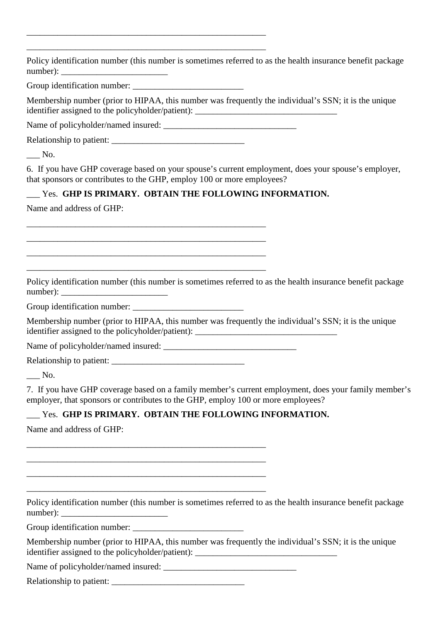\_\_\_\_\_\_\_\_\_\_\_\_\_\_\_\_\_\_\_\_\_\_\_\_\_\_\_\_\_\_\_\_\_\_\_\_\_\_\_\_\_\_\_\_\_\_\_\_\_\_\_\_\_\_ \_\_\_\_\_\_\_\_\_\_\_\_\_\_\_\_\_\_\_\_\_\_\_\_\_\_\_\_\_\_\_\_\_\_\_\_\_\_\_\_\_\_\_\_\_\_\_\_\_\_\_\_\_\_ Policy identification number (this number is sometimes referred to as the health insurance benefit package number): \_\_\_\_\_\_\_\_\_\_\_\_\_\_\_\_\_\_\_\_\_\_\_\_ Group identification number: Membership number (prior to HIPAA, this number was frequently the individual's SSN; it is the unique identifier assigned to the policyholder/patient): \_\_\_\_\_\_\_\_\_\_\_\_\_\_\_\_\_\_\_\_\_\_\_\_\_\_\_\_\_\_\_ Name of policyholder/named insured: Relationship to patient: \_\_\_\_\_\_\_\_\_\_\_\_\_\_\_\_\_\_\_\_\_\_\_\_\_\_\_\_\_\_ \_\_\_ No. 6. If you have GHP coverage based on your spouse's current employment, does your spouse's employer, that sponsors or contributes to the GHP, employ 100 or more employees? \_\_\_ Yes. **GHP IS PRIMARY. OBTAIN THE FOLLOWING INFORMATION.** Name and address of GHP: \_\_\_\_\_\_\_\_\_\_\_\_\_\_\_\_\_\_\_\_\_\_\_\_\_\_\_\_\_\_\_\_\_\_\_\_\_\_\_\_\_\_\_\_\_\_\_\_\_\_\_\_\_\_ \_\_\_\_\_\_\_\_\_\_\_\_\_\_\_\_\_\_\_\_\_\_\_\_\_\_\_\_\_\_\_\_\_\_\_\_\_\_\_\_\_\_\_\_\_\_\_\_\_\_\_\_\_\_ \_\_\_\_\_\_\_\_\_\_\_\_\_\_\_\_\_\_\_\_\_\_\_\_\_\_\_\_\_\_\_\_\_\_\_\_\_\_\_\_\_\_\_\_\_\_\_\_\_\_\_\_\_\_ \_\_\_\_\_\_\_\_\_\_\_\_\_\_\_\_\_\_\_\_\_\_\_\_\_\_\_\_\_\_\_\_\_\_\_\_\_\_\_\_\_\_\_\_\_\_\_\_\_\_\_\_\_\_ Policy identification number (this number is sometimes referred to as the health insurance benefit package number): Group identification number: Membership number (prior to HIPAA, this number was frequently the individual's SSN; it is the unique identifier assigned to the policyholder/patient): Name of policyholder/named insured: \_\_\_\_\_\_\_\_\_\_\_\_\_\_\_\_\_\_\_\_\_\_\_\_\_\_\_\_\_\_ Relationship to patient: \_\_\_ No. 7. If you have GHP coverage based on a family member's current employment, does your family member's employer, that sponsors or contributes to the GHP, employ 100 or more employees? \_\_\_ Yes. **GHP IS PRIMARY. OBTAIN THE FOLLOWING INFORMATION.** Name and address of GHP: \_\_\_\_\_\_\_\_\_\_\_\_\_\_\_\_\_\_\_\_\_\_\_\_\_\_\_\_\_\_\_\_\_\_\_\_\_\_\_\_\_\_\_\_\_\_\_\_\_\_\_\_\_\_ \_\_\_\_\_\_\_\_\_\_\_\_\_\_\_\_\_\_\_\_\_\_\_\_\_\_\_\_\_\_\_\_\_\_\_\_\_\_\_\_\_\_\_\_\_\_\_\_\_\_\_\_\_\_ \_\_\_\_\_\_\_\_\_\_\_\_\_\_\_\_\_\_\_\_\_\_\_\_\_\_\_\_\_\_\_\_\_\_\_\_\_\_\_\_\_\_\_\_\_\_\_\_\_\_\_\_\_\_ \_\_\_\_\_\_\_\_\_\_\_\_\_\_\_\_\_\_\_\_\_\_\_\_\_\_\_\_\_\_\_\_\_\_\_\_\_\_\_\_\_\_\_\_\_\_\_\_\_\_\_\_\_\_ Policy identification number (this number is sometimes referred to as the health insurance benefit package number): Group identification number: \_\_\_\_\_\_\_\_\_\_\_\_\_\_\_\_\_\_\_\_\_\_\_\_\_ Membership number (prior to HIPAA, this number was frequently the individual's SSN; it is the unique identifier assigned to the policyholder/patient): \_\_\_\_\_\_\_\_\_\_\_\_\_\_\_\_\_\_\_\_\_\_\_\_\_\_\_\_\_\_\_

Name of policyholder/named insured: \_\_\_\_\_\_\_\_\_\_\_\_\_\_\_\_\_\_\_\_\_\_\_\_\_\_\_\_\_\_

Relationship to patient: \_\_\_\_\_\_\_\_\_\_\_\_\_\_\_\_\_\_\_\_\_\_\_\_\_\_\_\_\_\_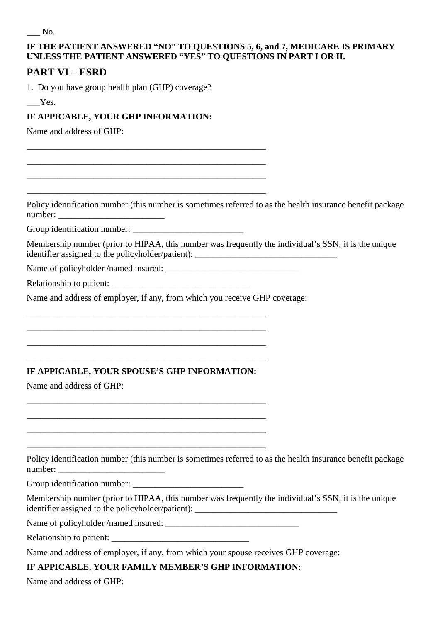### **IF THE PATIENT ANSWERED "NO" TO QUESTIONS 5, 6, and 7, MEDICARE IS PRIMARY UNLESS THE PATIENT ANSWERED "YES" TO QUESTIONS IN PART I OR II.**

# **PART VI – ESRD**

1. Do you have group health plan (GHP) coverage?

 $-$  Yes.

## **IF APPICABLE, YOUR GHP INFORMATION:**

\_\_\_\_\_\_\_\_\_\_\_\_\_\_\_\_\_\_\_\_\_\_\_\_\_\_\_\_\_\_\_\_\_\_\_\_\_\_\_\_\_\_\_\_\_\_\_\_\_\_\_\_\_\_ \_\_\_\_\_\_\_\_\_\_\_\_\_\_\_\_\_\_\_\_\_\_\_\_\_\_\_\_\_\_\_\_\_\_\_\_\_\_\_\_\_\_\_\_\_\_\_\_\_\_\_\_\_\_ \_\_\_\_\_\_\_\_\_\_\_\_\_\_\_\_\_\_\_\_\_\_\_\_\_\_\_\_\_\_\_\_\_\_\_\_\_\_\_\_\_\_\_\_\_\_\_\_\_\_\_\_\_\_ \_\_\_\_\_\_\_\_\_\_\_\_\_\_\_\_\_\_\_\_\_\_\_\_\_\_\_\_\_\_\_\_\_\_\_\_\_\_\_\_\_\_\_\_\_\_\_\_\_\_\_\_\_\_

Name and address of GHP:

Policy identification number (this number is sometimes referred to as the health insurance benefit package number:

Group identification number: \_\_\_\_\_\_\_\_\_\_\_\_\_\_\_\_\_\_\_\_\_\_\_\_\_

Membership number (prior to HIPAA, this number was frequently the individual's SSN; it is the unique identifier assigned to the policyholder/patient): \_\_\_\_\_\_\_\_\_\_\_\_\_\_\_\_\_\_\_\_\_\_\_\_\_\_\_\_\_\_\_

Name of policyholder /named insured: \_\_\_\_\_\_\_\_\_\_\_\_\_\_\_\_\_\_\_\_\_\_\_\_\_\_\_\_\_\_

Relationship to patient: \_\_\_\_\_\_\_\_\_\_\_\_\_\_\_\_\_\_\_\_\_\_\_\_\_\_\_\_\_\_\_

Name and address of employer, if any, from which you receive GHP coverage:

#### **IF APPICABLE, YOUR SPOUSE'S GHP INFORMATION:**

\_\_\_\_\_\_\_\_\_\_\_\_\_\_\_\_\_\_\_\_\_\_\_\_\_\_\_\_\_\_\_\_\_\_\_\_\_\_\_\_\_\_\_\_\_\_\_\_\_\_\_\_\_\_ \_\_\_\_\_\_\_\_\_\_\_\_\_\_\_\_\_\_\_\_\_\_\_\_\_\_\_\_\_\_\_\_\_\_\_\_\_\_\_\_\_\_\_\_\_\_\_\_\_\_\_\_\_\_ \_\_\_\_\_\_\_\_\_\_\_\_\_\_\_\_\_\_\_\_\_\_\_\_\_\_\_\_\_\_\_\_\_\_\_\_\_\_\_\_\_\_\_\_\_\_\_\_\_\_\_\_\_\_ \_\_\_\_\_\_\_\_\_\_\_\_\_\_\_\_\_\_\_\_\_\_\_\_\_\_\_\_\_\_\_\_\_\_\_\_\_\_\_\_\_\_\_\_\_\_\_\_\_\_\_\_\_\_

\_\_\_\_\_\_\_\_\_\_\_\_\_\_\_\_\_\_\_\_\_\_\_\_\_\_\_\_\_\_\_\_\_\_\_\_\_\_\_\_\_\_\_\_\_\_\_\_\_\_\_\_\_\_ \_\_\_\_\_\_\_\_\_\_\_\_\_\_\_\_\_\_\_\_\_\_\_\_\_\_\_\_\_\_\_\_\_\_\_\_\_\_\_\_\_\_\_\_\_\_\_\_\_\_\_\_\_\_ \_\_\_\_\_\_\_\_\_\_\_\_\_\_\_\_\_\_\_\_\_\_\_\_\_\_\_\_\_\_\_\_\_\_\_\_\_\_\_\_\_\_\_\_\_\_\_\_\_\_\_\_\_\_ \_\_\_\_\_\_\_\_\_\_\_\_\_\_\_\_\_\_\_\_\_\_\_\_\_\_\_\_\_\_\_\_\_\_\_\_\_\_\_\_\_\_\_\_\_\_\_\_\_\_\_\_\_\_

Name and address of GHP:

Policy identification number (this number is sometimes referred to as the health insurance benefit package number: \_\_\_\_\_\_\_\_\_\_\_\_\_\_\_\_\_\_\_\_\_\_\_\_

Group identification number:

Membership number (prior to HIPAA, this number was frequently the individual's SSN; it is the unique identifier assigned to the policyholder/patient): \_\_\_\_\_\_\_\_\_\_\_\_\_\_\_\_\_\_\_\_\_\_\_\_\_\_\_\_\_\_\_

Name of policyholder /named insured: \_\_\_\_\_\_\_\_\_\_\_\_\_\_\_\_\_\_\_\_\_\_\_\_\_\_\_\_\_\_

Relationship to patient:

Name and address of employer, if any, from which your spouse receives GHP coverage:

**IF APPICABLE, YOUR FAMILY MEMBER'S GHP INFORMATION:**

Name and address of GHP: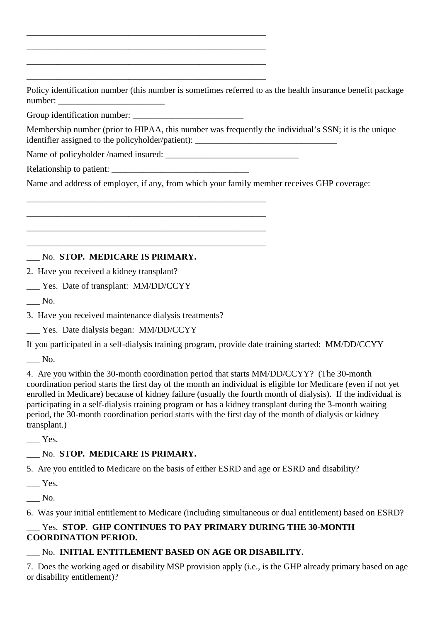Policy identification number (this number is sometimes referred to as the health insurance benefit package number:

Group identification number: \_\_\_\_\_\_\_\_\_\_\_\_\_\_\_\_\_\_\_\_\_\_\_\_\_

Membership number (prior to HIPAA, this number was frequently the individual's SSN; it is the unique identifier assigned to the policyholder/patient): \_\_\_\_\_\_\_\_\_\_\_\_\_\_\_\_\_\_\_\_\_\_\_\_\_\_\_\_\_\_\_\_

Name of policyholder /named insured: \_\_\_\_\_\_\_\_\_\_\_\_\_\_\_\_\_\_\_\_\_\_\_\_\_\_\_\_\_\_

\_\_\_\_\_\_\_\_\_\_\_\_\_\_\_\_\_\_\_\_\_\_\_\_\_\_\_\_\_\_\_\_\_\_\_\_\_\_\_\_\_\_\_\_\_\_\_\_\_\_\_\_\_\_ \_\_\_\_\_\_\_\_\_\_\_\_\_\_\_\_\_\_\_\_\_\_\_\_\_\_\_\_\_\_\_\_\_\_\_\_\_\_\_\_\_\_\_\_\_\_\_\_\_\_\_\_\_\_ \_\_\_\_\_\_\_\_\_\_\_\_\_\_\_\_\_\_\_\_\_\_\_\_\_\_\_\_\_\_\_\_\_\_\_\_\_\_\_\_\_\_\_\_\_\_\_\_\_\_\_\_\_\_ \_\_\_\_\_\_\_\_\_\_\_\_\_\_\_\_\_\_\_\_\_\_\_\_\_\_\_\_\_\_\_\_\_\_\_\_\_\_\_\_\_\_\_\_\_\_\_\_\_\_\_\_\_\_

\_\_\_\_\_\_\_\_\_\_\_\_\_\_\_\_\_\_\_\_\_\_\_\_\_\_\_\_\_\_\_\_\_\_\_\_\_\_\_\_\_\_\_\_\_\_\_\_\_\_\_\_\_\_ \_\_\_\_\_\_\_\_\_\_\_\_\_\_\_\_\_\_\_\_\_\_\_\_\_\_\_\_\_\_\_\_\_\_\_\_\_\_\_\_\_\_\_\_\_\_\_\_\_\_\_\_\_\_ \_\_\_\_\_\_\_\_\_\_\_\_\_\_\_\_\_\_\_\_\_\_\_\_\_\_\_\_\_\_\_\_\_\_\_\_\_\_\_\_\_\_\_\_\_\_\_\_\_\_\_\_\_\_ \_\_\_\_\_\_\_\_\_\_\_\_\_\_\_\_\_\_\_\_\_\_\_\_\_\_\_\_\_\_\_\_\_\_\_\_\_\_\_\_\_\_\_\_\_\_\_\_\_\_\_\_\_\_

Relationship to patient:

Name and address of employer, if any, from which your family member receives GHP coverage:

## \_\_\_ No. **STOP. MEDICARE IS PRIMARY.**

2. Have you received a kidney transplant?

\_\_\_ Yes. Date of transplant: MM/DD/CCYY

\_\_\_ No.

3. Have you received maintenance dialysis treatments?

Yes. Date dialysis began: MM/DD/CCYY

If you participated in a self-dialysis training program, provide date training started: MM/DD/CCYY

\_\_\_ No.

4. Are you within the 30-month coordination period that starts MM/DD/CCYY? (The 30-month coordination period starts the first day of the month an individual is eligible for Medicare (even if not yet enrolled in Medicare) because of kidney failure (usually the fourth month of dialysis). If the individual is participating in a self-dialysis training program or has a kidney transplant during the 3-month waiting period, the 30-month coordination period starts with the first day of the month of dialysis or kidney transplant.)

 $\_\_\$  Yes.

# \_\_\_ No. **STOP. MEDICARE IS PRIMARY.**

5. Are you entitled to Medicare on the basis of either ESRD and age or ESRD and disability?

 $\equiv$  Yes.

\_\_\_ No.

6. Was your initial entitlement to Medicare (including simultaneous or dual entitlement) based on ESRD?

# \_\_\_ Yes. **STOP. GHP CONTINUES TO PAY PRIMARY DURING THE 30-MONTH COORDINATION PERIOD.**

# \_\_\_ No. **INITIAL ENTITLEMENT BASED ON AGE OR DISABILITY.**

7. Does the working aged or disability MSP provision apply (i.e., is the GHP already primary based on age or disability entitlement)?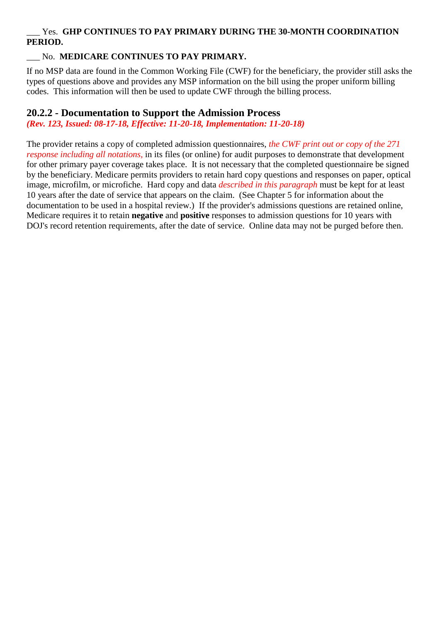#### \_\_\_ Yes. **GHP CONTINUES TO PAY PRIMARY DURING THE 30-MONTH COORDINATION PERIOD.**

### \_\_\_ No. **MEDICARE CONTINUES TO PAY PRIMARY.**

If no MSP data are found in the Common Working File (CWF) for the beneficiary, the provider still asks the types of questions above and provides any MSP information on the bill using the proper uniform billing codes. This information will then be used to update CWF through the billing process.

# **20.2.2 - Documentation to Support the Admission Process**

*(Rev. 123, Issued: 08-17-18, Effective: 11-20-18, Implementation: 11-20-18)*

The provider retains a copy of completed admission questionnaires, *the CWF print out or copy of the 271 response including all notations,* in its files (or online) for audit purposes to demonstrate that development for other primary payer coverage takes place. It is not necessary that the completed questionnaire be signed by the beneficiary. Medicare permits providers to retain hard copy questions and responses on paper, optical image, microfilm, or microfiche. Hard copy and data *described in this paragraph* must be kept for at least 10 years after the date of service that appears on the claim. (See Chapter 5 for information about the documentation to be used in a hospital review.) If the provider's admissions questions are retained online, Medicare requires it to retain **negative** and **positive** responses to admission questions for 10 years with DOJ's record retention requirements, after the date of service. Online data may not be purged before then.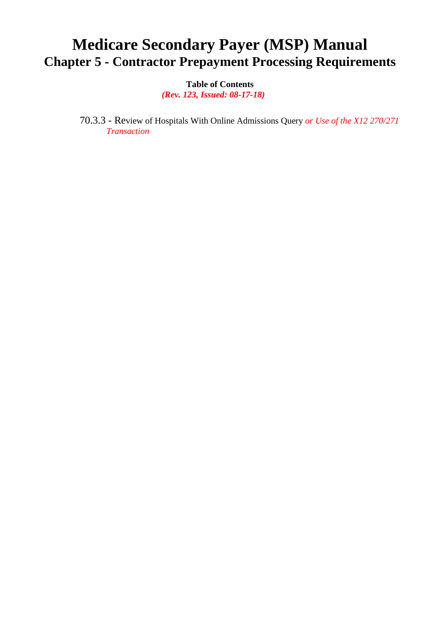# **Medicare Secondary Payer (MSP) Manual Chapter 5 - Contractor Prepayment Processing Requirements**

**Table of Contents**

 *(Rev. 123, Issued: 08-17-18)*

70.3.3 - Review of Hospitals With Online Admissions Query *or Use of the X12 270/271 Transaction*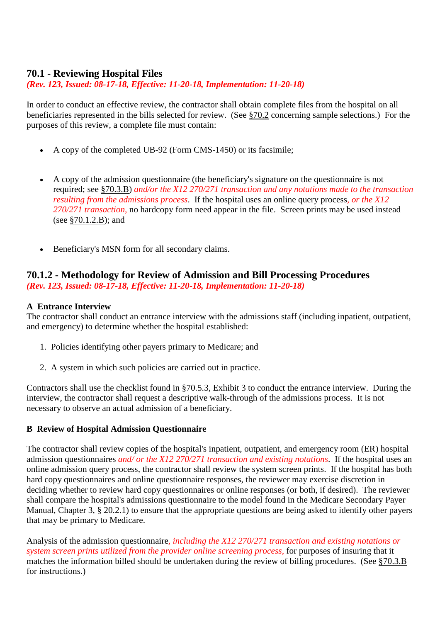# **70.1 - Reviewing Hospital Files**

*(Rev. 123, Issued: 08-17-18, Effective: 11-20-18, Implementation: 11-20-18)*

In order to conduct an effective review, the contractor shall obtain complete files from the hospital on all beneficiaries represented in the bills selected for review. (See §70.2 concerning sample selections.) For the purposes of this review, a complete file must contain:

- A copy of the completed UB-92 (Form CMS-1450) or its facsimile;
- A copy of the admission questionnaire (the beneficiary's signature on the questionnaire is not required; see §70.3.B) *and/or the X12 270/271 transaction and any notations made to the transaction resulting from the admissions process*. If the hospital uses an online query process*, or the X12 270/271 transaction,* no hardcopy form need appear in the file. Screen prints may be used instead (see §70.1.2.B); and
- Beneficiary's MSN form for all secondary claims.

#### **70.1.2 - Methodology for Review of Admission and Bill Processing Procedures** *(Rev. 123, Issued: 08-17-18, Effective: 11-20-18, Implementation: 11-20-18)*

#### **A Entrance Interview**

The contractor shall conduct an entrance interview with the admissions staff (including inpatient, outpatient, and emergency) to determine whether the hospital established:

- 1. Policies identifying other payers primary to Medicare; and
- 2. A system in which such policies are carried out in practice.

Contractors shall use the checklist found in §70.5.3, Exhibit 3 to conduct the entrance interview. During the interview, the contractor shall request a descriptive walk-through of the admissions process. It is not necessary to observe an actual admission of a beneficiary.

#### **B Review of Hospital Admission Questionnaire**

The contractor shall review copies of the hospital's inpatient, outpatient, and emergency room (ER) hospital admission questionnaires *and/ or the X12 270/271 transaction and existing notations*. If the hospital uses an online admission query process, the contractor shall review the system screen prints. If the hospital has both hard copy questionnaires and online questionnaire responses, the reviewer may exercise discretion in deciding whether to review hard copy questionnaires or online responses (or both, if desired). The reviewer shall compare the hospital's admissions questionnaire to the model found in the Medicare Secondary Payer Manual, Chapter 3, § 20.2.1) to ensure that the appropriate questions are being asked to identify other payers that may be primary to Medicare.

Analysis of the admission questionnaire*, including the X12 270/271 transaction and existing notations or system screen prints utilized from the provider online screening process,* for purposes of insuring that it matches the information billed should be undertaken during the review of billing procedures. (See §70.3.B for instructions.)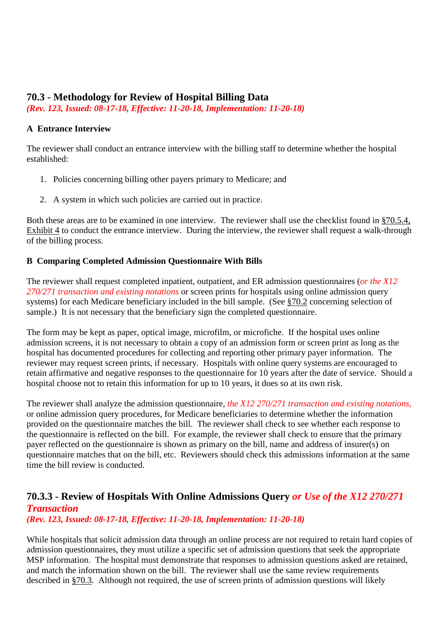# **70.3 - Methodology for Review of Hospital Billing Data**

*(Rev. 123, Issued: 08-17-18, Effective: 11-20-18, Implementation: 11-20-18)*

#### **A Entrance Interview**

The reviewer shall conduct an entrance interview with the billing staff to determine whether the hospital established:

- 1. Policies concerning billing other payers primary to Medicare; and
- 2. A system in which such policies are carried out in practice.

Both these areas are to be examined in one interview. The reviewer shall use the checklist found in §70.5.4, Exhibit 4 to conduct the entrance interview. During the interview, the reviewer shall request a walk-through of the billing process.

#### **B Comparing Completed Admission Questionnaire With Bills**

The reviewer shall request completed inpatient, outpatient, and ER admission questionnaires (*or the X12 270/271 transaction and existing notations* or screen prints for hospitals using online admission query systems) for each Medicare beneficiary included in the bill sample. (See §70.2 concerning selection of sample.) It is not necessary that the beneficiary sign the completed questionnaire.

The form may be kept as paper, optical image, microfilm, or microfiche. If the hospital uses online admission screens, it is not necessary to obtain a copy of an admission form or screen print as long as the hospital has documented procedures for collecting and reporting other primary payer information. The reviewer may request screen prints, if necessary. Hospitals with online query systems are encouraged to retain affirmative and negative responses to the questionnaire for 10 years after the date of service. Should a hospital choose not to retain this information for up to 10 years, it does so at its own risk.

The reviewer shall analyze the admission questionnaire, *the X12 270/271 transaction and existing notations,* or online admission query procedures, for Medicare beneficiaries to determine whether the information provided on the questionnaire matches the bill. The reviewer shall check to see whether each response to the questionnaire is reflected on the bill. For example, the reviewer shall check to ensure that the primary payer reflected on the questionnaire is shown as primary on the bill, name and address of insurer(s) on questionnaire matches that on the bill, etc. Reviewers should check this admissions information at the same time the bill review is conducted.

# **70.3.3 - Review of Hospitals With Online Admissions Query** *or Use of the X12 270/271 Transaction*

*(Rev. 123, Issued: 08-17-18, Effective: 11-20-18, Implementation: 11-20-18)*

While hospitals that solicit admission data through an online process are not required to retain hard copies of admission questionnaires, they must utilize a specific set of admission questions that seek the appropriate MSP information. The hospital must demonstrate that responses to admission questions asked are retained, and match the information shown on the bill. The reviewer shall use the same review requirements described in §70.3. Although not required, the use of screen prints of admission questions will likely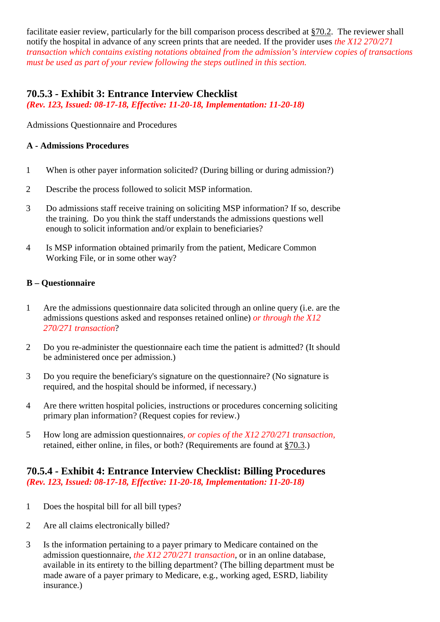facilitate easier review, particularly for the bill comparison process described at §70.2. The reviewer shall notify the hospital in advance of any screen prints that are needed. If the provider uses *the X12 270/271 transaction which contains existing notations obtained from the admission's interview copies of transactions must be used as part of your review following the steps outlined in this section.*

# **70.5.3 - Exhibit 3: Entrance Interview Checklist**

*(Rev. 123, Issued: 08-17-18, Effective: 11-20-18, Implementation: 11-20-18)*

Admissions Questionnaire and Procedures

#### **A - Admissions Procedures**

- 1 When is other payer information solicited? (During billing or during admission?)
- 2 Describe the process followed to solicit MSP information.
- 3 Do admissions staff receive training on soliciting MSP information? If so, describe the training. Do you think the staff understands the admissions questions well enough to solicit information and/or explain to beneficiaries?
- 4 Is MSP information obtained primarily from the patient, Medicare Common Working File, or in some other way?

#### **B – Questionnaire**

- 1 Are the admissions questionnaire data solicited through an online query (i.e. are the admissions questions asked and responses retained online) *or through the X12 270/271 transaction*?
- 2 Do you re-administer the questionnaire each time the patient is admitted? (It should be administered once per admission.)
- 3 Do you require the beneficiary's signature on the questionnaire? (No signature is required, and the hospital should be informed, if necessary.)
- 4 Are there written hospital policies, instructions or procedures concerning soliciting primary plan information? (Request copies for review.)
- 5 How long are admission questionnaires*, or copies of the X12 270/271 transaction,* retained, either online, in files, or both? (Requirements are found at §70.3.)

#### **70.5.4 - Exhibit 4: Entrance Interview Checklist: Billing Procedures** *(Rev. 123, Issued: 08-17-18, Effective: 11-20-18, Implementation: 11-20-18)*

- 1 Does the hospital bill for all bill types?
- 2 Are all claims electronically billed?
- 3 Is the information pertaining to a payer primary to Medicare contained on the admission questionnaire, *the X12 270/271 transaction*, or in an online database, available in its entirety to the billing department? (The billing department must be made aware of a payer primary to Medicare, e.g., working aged, ESRD, liability insurance.)